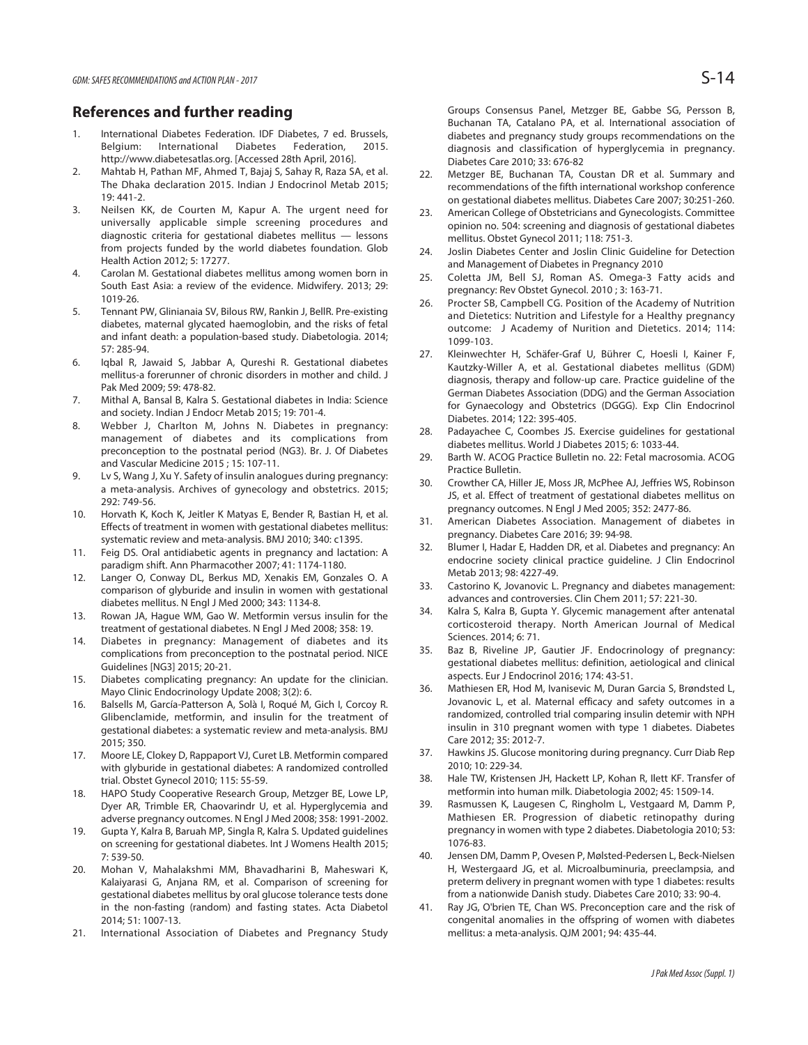## **References and further reading**

- 1. International Diabetes Federation. IDF Diabetes, 7 ed. Brussels, Belgium: International Diabetes Federation, 2015. http://www.diabetesatlas.org. [Accessed 28th April, 2016].
- 2. Mahtab H, Pathan MF, Ahmed T, Bajaj S, Sahay R, Raza SA, et al. The Dhaka declaration 2015. Indian J Endocrinol Metab 2015; 19: 441-2.
- 3. Neilsen KK, de Courten M, Kapur A. The urgent need for universally applicable simple screening procedures and diagnostic criteria for gestational diabetes mellitus — lessons from projects funded by the world diabetes foundation. Glob Health Action 2012; 5: 17277.
- 4. Carolan M. Gestational diabetes mellitus among women born in South East Asia: a review of the evidence. Midwifery. 2013; 29: 1019-26.
- 5. Tennant PW, Glinianaia SV, Bilous RW, Rankin J, BellR. Pre-existing diabetes, maternal glycated haemoglobin, and the risks of fetal and infant death: a population-based study. Diabetologia. 2014; 57: 285-94.
- 6. Iqbal R, Jawaid S, Jabbar A, Qureshi R. Gestational diabetes mellitus-a forerunner of chronic disorders in mother and child. J Pak Med 2009; 59: 478-82.
- 7. Mithal A, Bansal B, Kalra S. Gestational diabetes in India: Science and society. Indian J Endocr Metab 2015; 19: 701-4.
- 8. Webber J, Charlton M, Johns N. Diabetes in pregnancy: management of diabetes and its complications from preconception to the postnatal period (NG3). Br. J. Of Diabetes and Vascular Medicine 2015 ; 15: 107-11.
- 9. Lv S, Wang J, Xu Y. Safety of insulin analogues during pregnancy: a meta-analysis. Archives of gynecology and obstetrics. 2015; 292: 749-56.
- 10. Horvath K, Koch K, Jeitler K Matyas E, Bender R, Bastian H, et al. Effects of treatment in women with gestational diabetes mellitus: systematic review and meta-analysis. BMJ 2010; 340: c1395.
- 11. Feig DS. Oral antidiabetic agents in pregnancy and lactation: A paradigm shift. Ann Pharmacother 2007; 41: 1174-1180.
- 12. Langer O, Conway DL, Berkus MD, Xenakis EM, Gonzales O. A comparison of glyburide and insulin in women with gestational diabetes mellitus. N Engl J Med 2000; 343: 1134-8.
- 13. Rowan JA, Hague WM, Gao W. Metformin versus insulin for the treatment of gestational diabetes. N Engl J Med 2008; 358: 19.
- 14. Diabetes in pregnancy: Management of diabetes and its complications from preconception to the postnatal period. NICE Guidelines [NG3] 2015; 20-21.
- 15. Diabetes complicating pregnancy: An update for the clinician. Mayo Clinic Endocrinology Update 2008; 3(2): 6.
- 16. Balsells M, García-Patterson A, Solà I, Roqué M, Gich I, Corcoy R. Glibenclamide, metformin, and insulin for the treatment of gestational diabetes: a systematic review and meta-analysis. BMJ 2015; 350.
- 17. Moore LE, Clokey D, Rappaport VJ, Curet LB. Metformin compared with glyburide in gestational diabetes: A randomized controlled trial. Obstet Gynecol 2010; 115: 55-59.
- 18. HAPO Study Cooperative Research Group, Metzger BE, Lowe LP, Dyer AR, Trimble ER, Chaovarindr U, et al. Hyperglycemia and adverse pregnancy outcomes. N Engl J Med 2008; 358: 1991-2002.
- 19. Gupta Y, Kalra B, Baruah MP, Singla R, Kalra S. Updated guidelines on screening for gestational diabetes. Int J Womens Health 2015; 7: 539-50.
- 20. Mohan V, Mahalakshmi MM, Bhavadharini B, Maheswari K, Kalaiyarasi G, Anjana RM, et al. Comparison of screening for gestational diabetes mellitus by oral glucose tolerance tests done in the non-fasting (random) and fasting states. Acta Diabetol 2014; 51: 1007-13.
- 21. International Association of Diabetes and Pregnancy Study

Groups Consensus Panel, Metzger BE, Gabbe SG, Persson B, Buchanan TA, Catalano PA, et al. International association of diabetes and pregnancy study groups recommendations on the diagnosis and classification of hyperglycemia in pregnancy. Diabetes Care 2010; 33: 676-82

- 22. Metzger BE, Buchanan TA, Coustan DR et al. Summary and recommendations of the fifth international workshop conference on gestational diabetes mellitus. Diabetes Care 2007; 30:251-260.
- 23. American College of Obstetricians and Gynecologists. Committee opinion no. 504: screening and diagnosis of gestational diabetes mellitus. Obstet Gynecol 2011; 118: 751-3.
- 24. Joslin Diabetes Center and Joslin Clinic Guideline for Detection and Management of Diabetes in Pregnancy 2010
- 25. Coletta JM, Bell SJ, Roman AS. Omega-3 Fatty acids and pregnancy: Rev Obstet Gynecol. 2010 ; 3: 163-71.
- 26. Procter SB, Campbell CG. Position of the Academy of Nutrition and Dietetics: Nutrition and Lifestyle for a Healthy pregnancy outcome: J Academy of Nurition and Dietetics. 2014; 114: 1099-103.
- 27. Kleinwechter H, Schäfer-Graf U, Bührer C, Hoesli I, Kainer F, Kautzky-Willer A, et al. Gestational diabetes mellitus (GDM) diagnosis, therapy and follow-up care. Practice guideline of the German Diabetes Association (DDG) and the German Association for Gynaecology and Obstetrics (DGGG). Exp Clin Endocrinol Diabetes. 2014; 122: 395-405.
- 28. Padayachee C, Coombes JS. Exercise guidelines for gestational diabetes mellitus. World J Diabetes 2015; 6: 1033-44.
- 29. Barth W. ACOG Practice Bulletin no. 22: Fetal macrosomia. ACOG Practice Bulletin.
- 30. Crowther CA, Hiller JE, Moss JR, McPhee AJ, Jeffries WS, Robinson JS, et al. Effect of treatment of gestational diabetes mellitus on pregnancy outcomes. N Engl J Med 2005; 352: 2477-86.
- 31. American Diabetes Association. Management of diabetes in pregnancy. Diabetes Care 2016; 39: 94-98.
- 32. Blumer I, Hadar E, Hadden DR, et al. Diabetes and pregnancy: An endocrine society clinical practice guideline. J Clin Endocrinol Metab 2013; 98: 4227-49.
- 33. Castorino K, Jovanovic L. Pregnancy and diabetes management: advances and controversies. Clin Chem 2011; 57: 221-30.
- 34. Kalra S, Kalra B, Gupta Y. Glycemic management after antenatal corticosteroid therapy. North American Journal of Medical Sciences. 2014; 6: 71.
- 35. Baz B, Riveline JP, Gautier JF. Endocrinology of pregnancy: gestational diabetes mellitus: definition, aetiological and clinical aspects. Eur J Endocrinol 2016; 174: 43-51.
- 36. Mathiesen ER, Hod M, Ivanisevic M, Duran Garcia S, Brøndsted L, Jovanovic L, et al. Maternal efficacy and safety outcomes in a randomized, controlled trial comparing insulin detemir with NPH insulin in 310 pregnant women with type 1 diabetes. Diabetes Care 2012; 35: 2012-7.
- 37. Hawkins JS. Glucose monitoring during pregnancy. Curr Diab Rep 2010; 10: 229-34.
- 38. Hale TW, Kristensen JH, Hackett LP, Kohan R, Ilett KF. Transfer of metformin into human milk. Diabetologia 2002; 45: 1509-14.
- 39. Rasmussen K, Laugesen C, Ringholm L, Vestgaard M, Damm P, Mathiesen ER. Progression of diabetic retinopathy during pregnancy in women with type 2 diabetes. Diabetologia 2010; 53: 1076-83.
- 40. Jensen DM, Damm P, Ovesen P, Mølsted-Pedersen L, Beck-Nielsen H, Westergaard JG, et al. Microalbuminuria, preeclampsia, and preterm delivery in pregnant women with type 1 diabetes: results from a nationwide Danish study. Diabetes Care 2010; 33: 90-4.
- 41. Ray JG, O'brien TE, Chan WS. Preconception care and the risk of congenital anomalies in the offspring of women with diabetes mellitus: a meta-analysis. QJM 2001; 94: 435-44.